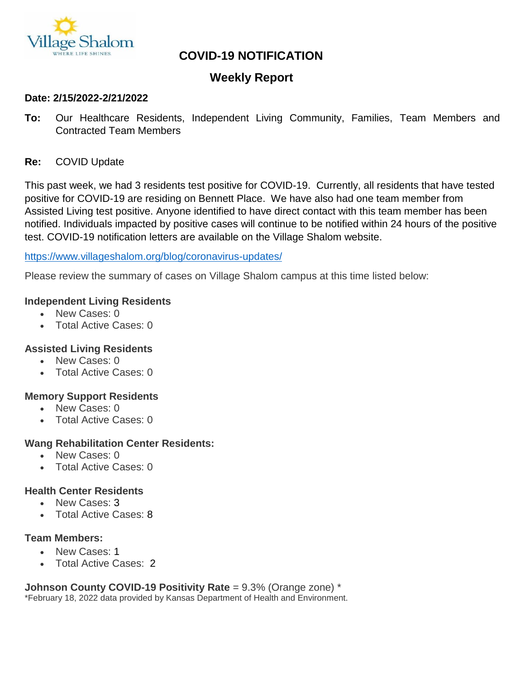

# **COVID-19 NOTIFICATION**

# **Weekly Report**

#### **Date: 2/15/2022-2/21/2022**

**To:** Our Healthcare Residents, Independent Living Community, Families, Team Members and Contracted Team Members

#### **Re:** COVID Update

This past week, we had 3 residents test positive for COVID-19. Currently, all residents that have tested positive for COVID-19 are residing on Bennett Place. We have also had one team member from Assisted Living test positive. Anyone identified to have direct contact with this team member has been notified. Individuals impacted by positive cases will continue to be notified within 24 hours of the positive test. COVID-19 notification letters are available on the Village Shalom website.

#### <https://www.villageshalom.org/blog/coronavirus-updates/>

Please review the summary of cases on Village Shalom campus at this time listed below:

#### **Independent Living Residents**

- New Cases: 0
- Total Active Cases: 0

#### **Assisted Living Residents**

- New Cases: 0
- Total Active Cases: 0

#### **Memory Support Residents**

- New Cases: 0
- Total Active Cases: 0

#### **Wang Rehabilitation Center Residents:**

- New Cases: 0
- Total Active Cases: 0

#### **Health Center Residents**

- New Cases: 3
- Total Active Cases: 8

### **Team Members:**

- New Cases: 1
- Total Active Cases: 2

#### **Johnson County COVID-19 Positivity Rate** = 9.3% (Orange zone) \*

\*February 18, 2022 data provided by Kansas Department of Health and Environment.